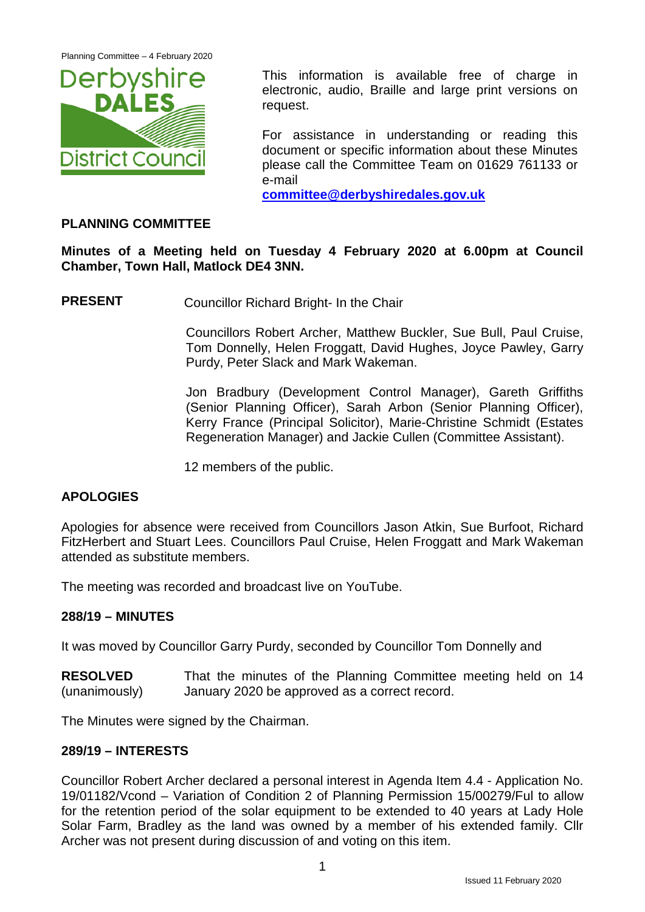Planning Committee – 4 February 2020



This information is available free of charge in electronic, audio, Braille and large print versions on request.

For assistance in understanding or reading this document or specific information about these Minutes please call the Committee Team on 01629 761133 or e-mail

**[committee@derbyshiredales.gov.uk](mailto:committee@derbyshiredales.gov.uk)**

# **PLANNING COMMITTEE**

**Minutes of a Meeting held on Tuesday 4 February 2020 at 6.00pm at Council Chamber, Town Hall, Matlock DE4 3NN.**

**PRESENT** Councillor Richard Bright- In the Chair

Councillors Robert Archer, Matthew Buckler, Sue Bull, Paul Cruise, Tom Donnelly, Helen Froggatt, David Hughes, Joyce Pawley, Garry Purdy, Peter Slack and Mark Wakeman.

Jon Bradbury (Development Control Manager), Gareth Griffiths (Senior Planning Officer), Sarah Arbon (Senior Planning Officer), Kerry France (Principal Solicitor), Marie-Christine Schmidt (Estates Regeneration Manager) and Jackie Cullen (Committee Assistant).

12 members of the public.

# **APOLOGIES**

Apologies for absence were received from Councillors Jason Atkin, Sue Burfoot, Richard FitzHerbert and Stuart Lees. Councillors Paul Cruise, Helen Froggatt and Mark Wakeman attended as substitute members.

The meeting was recorded and broadcast live on YouTube.

# **288/19 – MINUTES**

It was moved by Councillor Garry Purdy, seconded by Councillor Tom Donnelly and

**RESOLVED** (unanimously) That the minutes of the Planning Committee meeting held on 14 January 2020 be approved as a correct record.

The Minutes were signed by the Chairman.

# **289/19 – INTERESTS**

Councillor Robert Archer declared a personal interest in Agenda Item 4.4 - Application No. 19/01182/Vcond – Variation of Condition 2 of Planning Permission 15/00279/Ful to allow for the retention period of the solar equipment to be extended to 40 years at Lady Hole Solar Farm, Bradley as the land was owned by a member of his extended family. Cllr Archer was not present during discussion of and voting on this item.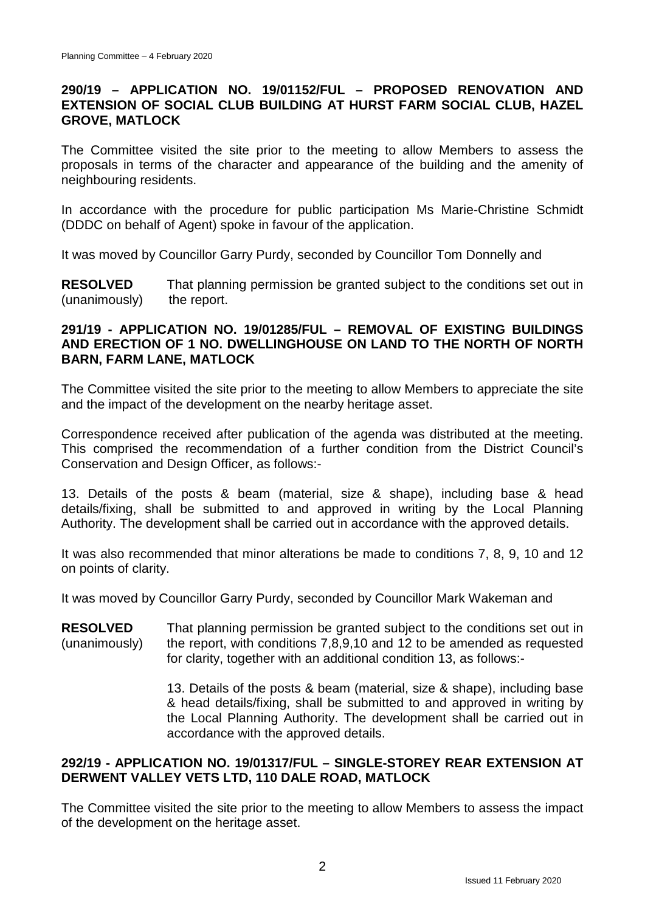# **290/19 – APPLICATION NO. 19/01152/FUL – PROPOSED RENOVATION AND EXTENSION OF SOCIAL CLUB BUILDING AT HURST FARM SOCIAL CLUB, HAZEL GROVE, MATLOCK**

The Committee visited the site prior to the meeting to allow Members to assess the proposals in terms of the character and appearance of the building and the amenity of neighbouring residents.

In accordance with the procedure for public participation Ms Marie-Christine Schmidt (DDDC on behalf of Agent) spoke in favour of the application.

It was moved by Councillor Garry Purdy, seconded by Councillor Tom Donnelly and

**RESOLVED** (unanimously) That planning permission be granted subject to the conditions set out in the report.

# **291/19 - APPLICATION NO. 19/01285/FUL – REMOVAL OF EXISTING BUILDINGS AND ERECTION OF 1 NO. DWELLINGHOUSE ON LAND TO THE NORTH OF NORTH BARN, FARM LANE, MATLOCK**

The Committee visited the site prior to the meeting to allow Members to appreciate the site and the impact of the development on the nearby heritage asset.

Correspondence received after publication of the agenda was distributed at the meeting. This comprised the recommendation of a further condition from the District Council's Conservation and Design Officer, as follows:-

13. Details of the posts & beam (material, size & shape), including base & head details/fixing, shall be submitted to and approved in writing by the Local Planning Authority. The development shall be carried out in accordance with the approved details.

It was also recommended that minor alterations be made to conditions 7, 8, 9, 10 and 12 on points of clarity.

It was moved by Councillor Garry Purdy, seconded by Councillor Mark Wakeman and

**RESOLVED** (unanimously) That planning permission be granted subject to the conditions set out in the report, with conditions 7,8,9,10 and 12 to be amended as requested for clarity, together with an additional condition 13, as follows:-

> 13. Details of the posts & beam (material, size & shape), including base & head details/fixing, shall be submitted to and approved in writing by the Local Planning Authority. The development shall be carried out in accordance with the approved details.

# **292/19 - APPLICATION NO. 19/01317/FUL – SINGLE-STOREY REAR EXTENSION AT DERWENT VALLEY VETS LTD, 110 DALE ROAD, MATLOCK**

The Committee visited the site prior to the meeting to allow Members to assess the impact of the development on the heritage asset.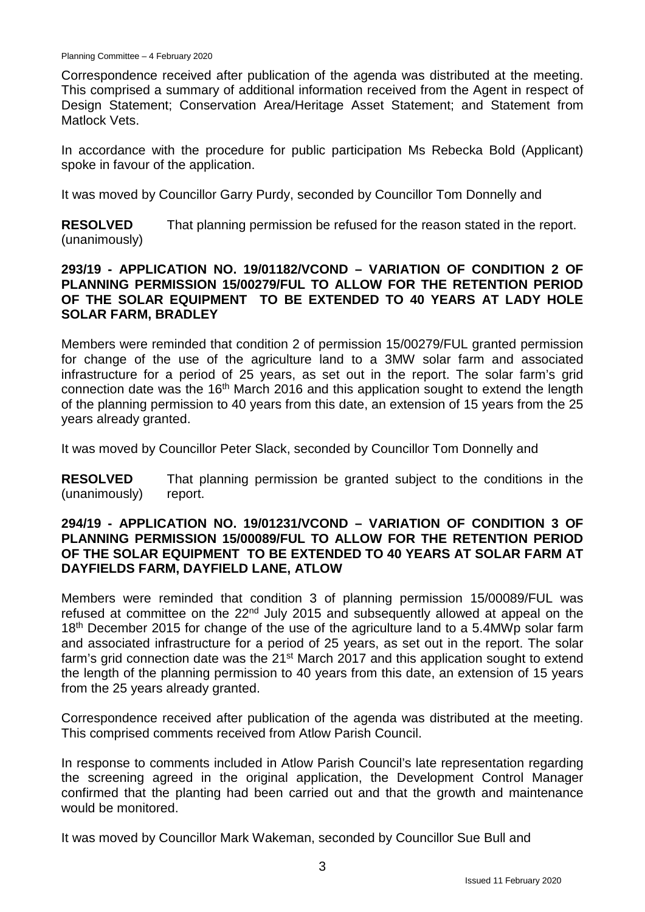Correspondence received after publication of the agenda was distributed at the meeting. This comprised a summary of additional information received from the Agent in respect of Design Statement; Conservation Area/Heritage Asset Statement; and Statement from Matlock Vets.

In accordance with the procedure for public participation Ms Rebecka Bold (Applicant) spoke in favour of the application.

It was moved by Councillor Garry Purdy, seconded by Councillor Tom Donnelly and

**RESOLVED** (unanimously) That planning permission be refused for the reason stated in the report.

#### **293/19 - APPLICATION NO. 19/01182/VCOND – VARIATION OF CONDITION 2 OF PLANNING PERMISSION 15/00279/FUL TO ALLOW FOR THE RETENTION PERIOD OF THE SOLAR EQUIPMENT TO BE EXTENDED TO 40 YEARS AT LADY HOLE SOLAR FARM, BRADLEY**

Members were reminded that condition 2 of permission 15/00279/FUL granted permission for change of the use of the agriculture land to a 3MW solar farm and associated infrastructure for a period of 25 years, as set out in the report. The solar farm's grid connection date was the 16<sup>th</sup> March 2016 and this application sought to extend the length of the planning permission to 40 years from this date, an extension of 15 years from the 25 years already granted.

It was moved by Councillor Peter Slack, seconded by Councillor Tom Donnelly and

**RESOLVED** (unanimously) That planning permission be granted subject to the conditions in the report.

## **294/19 - APPLICATION NO. 19/01231/VCOND – VARIATION OF CONDITION 3 OF PLANNING PERMISSION 15/00089/FUL TO ALLOW FOR THE RETENTION PERIOD OF THE SOLAR EQUIPMENT TO BE EXTENDED TO 40 YEARS AT SOLAR FARM AT DAYFIELDS FARM, DAYFIELD LANE, ATLOW**

Members were reminded that condition 3 of planning permission 15/00089/FUL was refused at committee on the 22<sup>nd</sup> July 2015 and subsequently allowed at appeal on the 18<sup>th</sup> December 2015 for change of the use of the agriculture land to a 5.4MWp solar farm and associated infrastructure for a period of 25 years, as set out in the report. The solar farm's grid connection date was the 21<sup>st</sup> March 2017 and this application sought to extend the length of the planning permission to 40 years from this date, an extension of 15 years from the 25 years already granted.

Correspondence received after publication of the agenda was distributed at the meeting. This comprised comments received from Atlow Parish Council.

In response to comments included in Atlow Parish Council's late representation regarding the screening agreed in the original application, the Development Control Manager confirmed that the planting had been carried out and that the growth and maintenance would be monitored.

It was moved by Councillor Mark Wakeman, seconded by Councillor Sue Bull and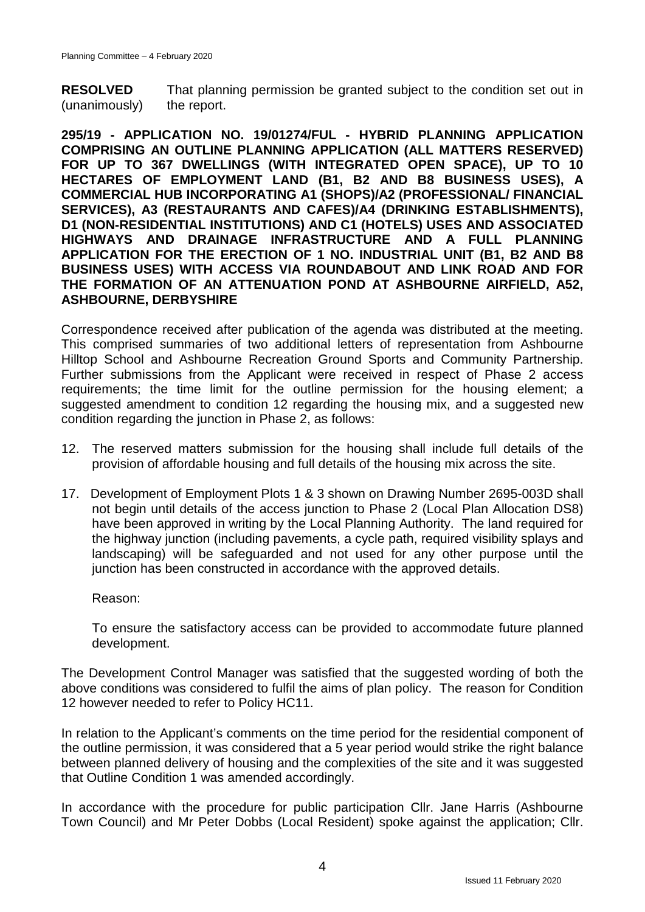**RESOLVED** (unanimously) That planning permission be granted subject to the condition set out in the report.

**295/19 - APPLICATION NO. 19/01274/FUL - HYBRID PLANNING APPLICATION COMPRISING AN OUTLINE PLANNING APPLICATION (ALL MATTERS RESERVED) FOR UP TO 367 DWELLINGS (WITH INTEGRATED OPEN SPACE), UP TO 10 HECTARES OF EMPLOYMENT LAND (B1, B2 AND B8 BUSINESS USES), A COMMERCIAL HUB INCORPORATING A1 (SHOPS)/A2 (PROFESSIONAL/ FINANCIAL SERVICES), A3 (RESTAURANTS AND CAFES)/A4 (DRINKING ESTABLISHMENTS), D1 (NON-RESIDENTIAL INSTITUTIONS) AND C1 (HOTELS) USES AND ASSOCIATED HIGHWAYS AND DRAINAGE INFRASTRUCTURE AND A FULL PLANNING APPLICATION FOR THE ERECTION OF 1 NO. INDUSTRIAL UNIT (B1, B2 AND B8 BUSINESS USES) WITH ACCESS VIA ROUNDABOUT AND LINK ROAD AND FOR THE FORMATION OF AN ATTENUATION POND AT ASHBOURNE AIRFIELD, A52, ASHBOURNE, DERBYSHIRE**

Correspondence received after publication of the agenda was distributed at the meeting. This comprised summaries of two additional letters of representation from Ashbourne Hilltop School and Ashbourne Recreation Ground Sports and Community Partnership. Further submissions from the Applicant were received in respect of Phase 2 access requirements; the time limit for the outline permission for the housing element; a suggested amendment to condition 12 regarding the housing mix, and a suggested new condition regarding the junction in Phase 2, as follows:

- 12. The reserved matters submission for the housing shall include full details of the provision of affordable housing and full details of the housing mix across the site.
- 17. Development of Employment Plots 1 & 3 shown on Drawing Number 2695-003D shall not begin until details of the access junction to Phase 2 (Local Plan Allocation DS8) have been approved in writing by the Local Planning Authority. The land required for the highway junction (including pavements, a cycle path, required visibility splays and landscaping) will be safeguarded and not used for any other purpose until the junction has been constructed in accordance with the approved details.

Reason:

To ensure the satisfactory access can be provided to accommodate future planned development.

The Development Control Manager was satisfied that the suggested wording of both the above conditions was considered to fulfil the aims of plan policy. The reason for Condition 12 however needed to refer to Policy HC11.

In relation to the Applicant's comments on the time period for the residential component of the outline permission, it was considered that a 5 year period would strike the right balance between planned delivery of housing and the complexities of the site and it was suggested that Outline Condition 1 was amended accordingly.

In accordance with the procedure for public participation Cllr. Jane Harris (Ashbourne Town Council) and Mr Peter Dobbs (Local Resident) spoke against the application; Cllr.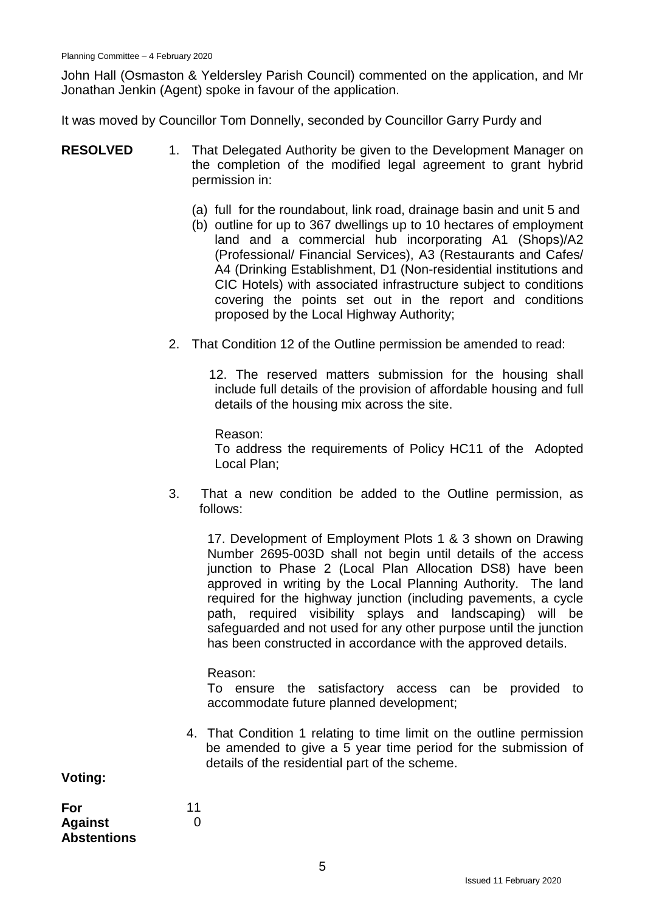John Hall (Osmaston & Yeldersley Parish Council) commented on the application, and Mr Jonathan Jenkin (Agent) spoke in favour of the application.

It was moved by Councillor Tom Donnelly, seconded by Councillor Garry Purdy and

- **RESOLVED** 1. That Delegated Authority be given to the Development Manager on the completion of the modified legal agreement to grant hybrid permission in:
	- (a) full for the roundabout, link road, drainage basin and unit 5 and
	- (b) outline for up to 367 dwellings up to 10 hectares of employment land and a commercial hub incorporating A1 (Shops)/A2 (Professional/ Financial Services), A3 (Restaurants and Cafes/ A4 (Drinking Establishment, D1 (Non-residential institutions and CIC Hotels) with associated infrastructure subject to conditions covering the points set out in the report and conditions proposed by the Local Highway Authority;
	- 2. That Condition 12 of the Outline permission be amended to read:

12. The reserved matters submission for the housing shall include full details of the provision of affordable housing and full details of the housing mix across the site.

Reason: To address the requirements of Policy HC11 of the Adopted Local Plan;

3. That a new condition be added to the Outline permission, as follows:

17. Development of Employment Plots 1 & 3 shown on Drawing Number 2695-003D shall not begin until details of the access junction to Phase 2 (Local Plan Allocation DS8) have been approved in writing by the Local Planning Authority. The land required for the highway junction (including pavements, a cycle path, required visibility splays and landscaping) will be safeguarded and not used for any other purpose until the junction has been constructed in accordance with the approved details.

#### Reason:

To ensure the satisfactory access can be provided to accommodate future planned development;

4. That Condition 1 relating to time limit on the outline permission be amended to give a 5 year time period for the submission of details of the residential part of the scheme.

**Voting:**

| For                | 11 |
|--------------------|----|
| <b>Against</b>     | O  |
| <b>Abstentions</b> |    |